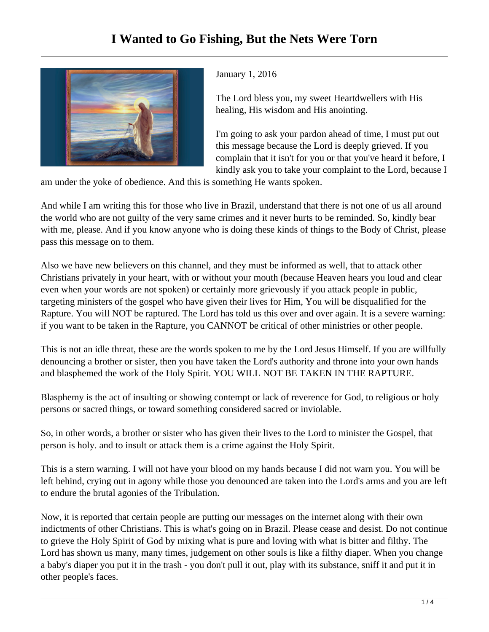

January 1, 2016

The Lord bless you, my sweet Heartdwellers with His healing, His wisdom and His anointing.

I'm going to ask your pardon ahead of time, I must put out this message because the Lord is deeply grieved. If you complain that it isn't for you or that you've heard it before, I kindly ask you to take your complaint to the Lord, because I

am under the yoke of obedience. And this is something He wants spoken.

And while I am writing this for those who live in Brazil, understand that there is not one of us all around the world who are not guilty of the very same crimes and it never hurts to be reminded. So, kindly bear with me, please. And if you know anyone who is doing these kinds of things to the Body of Christ, please pass this message on to them.

Also we have new believers on this channel, and they must be informed as well, that to attack other Christians privately in your heart, with or without your mouth (because Heaven hears you loud and clear even when your words are not spoken) or certainly more grievously if you attack people in public, targeting ministers of the gospel who have given their lives for Him, You will be disqualified for the Rapture. You will NOT be raptured. The Lord has told us this over and over again. It is a severe warning: if you want to be taken in the Rapture, you CANNOT be critical of other ministries or other people.

This is not an idle threat, these are the words spoken to me by the Lord Jesus Himself. If you are willfully denouncing a brother or sister, then you have taken the Lord's authority and throne into your own hands and blasphemed the work of the Holy Spirit. YOU WILL NOT BE TAKEN IN THE RAPTURE.

Blasphemy is the act of insulting or showing contempt or lack of reverence for God, to religious or holy persons or sacred things, or toward something considered sacred or inviolable.

So, in other words, a brother or sister who has given their lives to the Lord to minister the Gospel, that person is holy. and to insult or attack them is a crime against the Holy Spirit.

This is a stern warning. I will not have your blood on my hands because I did not warn you. You will be left behind, crying out in agony while those you denounced are taken into the Lord's arms and you are left to endure the brutal agonies of the Tribulation.

Now, it is reported that certain people are putting our messages on the internet along with their own indictments of other Christians. This is what's going on in Brazil. Please cease and desist. Do not continue to grieve the Holy Spirit of God by mixing what is pure and loving with what is bitter and filthy. The Lord has shown us many, many times, judgement on other souls is like a filthy diaper. When you change a baby's diaper you put it in the trash - you don't pull it out, play with its substance, sniff it and put it in other people's faces.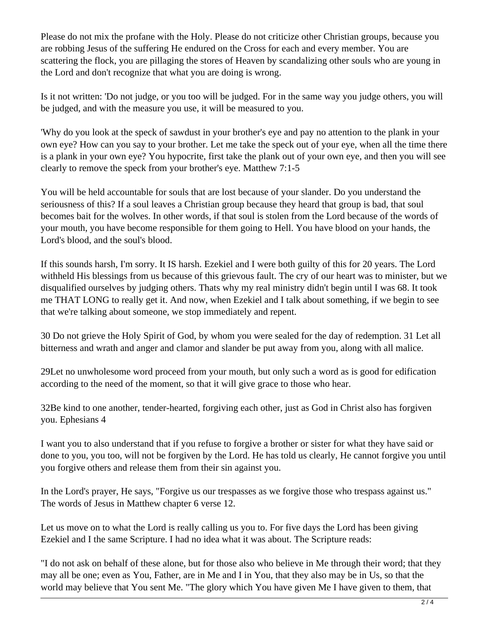Please do not mix the profane with the Holy. Please do not criticize other Christian groups, because you are robbing Jesus of the suffering He endured on the Cross for each and every member. You are scattering the flock, you are pillaging the stores of Heaven by scandalizing other souls who are young in the Lord and don't recognize that what you are doing is wrong.

Is it not written: 'Do not judge, or you too will be judged. For in the same way you judge others, you will be judged, and with the measure you use, it will be measured to you.

'Why do you look at the speck of sawdust in your brother's eye and pay no attention to the plank in your own eye? How can you say to your brother. Let me take the speck out of your eye, when all the time there is a plank in your own eye? You hypocrite, first take the plank out of your own eye, and then you will see clearly to remove the speck from your brother's eye. Matthew 7:1-5

You will be held accountable for souls that are lost because of your slander. Do you understand the seriousness of this? If a soul leaves a Christian group because they heard that group is bad, that soul becomes bait for the wolves. In other words, if that soul is stolen from the Lord because of the words of your mouth, you have become responsible for them going to Hell. You have blood on your hands, the Lord's blood, and the soul's blood.

If this sounds harsh, I'm sorry. It IS harsh. Ezekiel and I were both guilty of this for 20 years. The Lord withheld His blessings from us because of this grievous fault. The cry of our heart was to minister, but we disqualified ourselves by judging others. Thats why my real ministry didn't begin until I was 68. It took me THAT LONG to really get it. And now, when Ezekiel and I talk about something, if we begin to see that we're talking about someone, we stop immediately and repent.

30 Do not grieve the Holy Spirit of God, by whom you were sealed for the day of redemption. 31 Let all bitterness and wrath and anger and clamor and slander be put away from you, along with all malice.

29Let no unwholesome word proceed from your mouth, but only such a word as is good for edification according to the need of the moment, so that it will give grace to those who hear.

32Be kind to one another, tender-hearted, forgiving each other, just as God in Christ also has forgiven you. Ephesians 4

I want you to also understand that if you refuse to forgive a brother or sister for what they have said or done to you, you too, will not be forgiven by the Lord. He has told us clearly, He cannot forgive you until you forgive others and release them from their sin against you.

In the Lord's prayer, He says, "Forgive us our trespasses as we forgive those who trespass against us." The words of Jesus in Matthew chapter 6 verse 12.

Let us move on to what the Lord is really calling us you to. For five days the Lord has been giving Ezekiel and I the same Scripture. I had no idea what it was about. The Scripture reads:

"I do not ask on behalf of these alone, but for those also who believe in Me through their word; that they may all be one; even as You, Father, are in Me and I in You, that they also may be in Us, so that the world may believe that You sent Me. "The glory which You have given Me I have given to them, that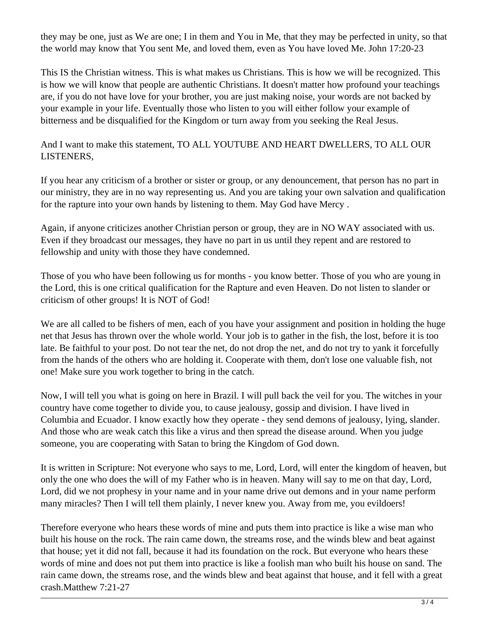they may be one, just as We are one; I in them and You in Me, that they may be perfected in unity, so that the world may know that You sent Me, and loved them, even as You have loved Me. John 17:20-23

This IS the Christian witness. This is what makes us Christians. This is how we will be recognized. This is how we will know that people are authentic Christians. It doesn't matter how profound your teachings are, if you do not have love for your brother, you are just making noise, your words are not backed by your example in your life. Eventually those who listen to you will either follow your example of bitterness and be disqualified for the Kingdom or turn away from you seeking the Real Jesus.

And I want to make this statement, TO ALL YOUTUBE AND HEART DWELLERS, TO ALL OUR LISTENERS,

If you hear any criticism of a brother or sister or group, or any denouncement, that person has no part in our ministry, they are in no way representing us. And you are taking your own salvation and qualification for the rapture into your own hands by listening to them. May God have Mercy .

Again, if anyone criticizes another Christian person or group, they are in NO WAY associated with us. Even if they broadcast our messages, they have no part in us until they repent and are restored to fellowship and unity with those they have condemned.

Those of you who have been following us for months - you know better. Those of you who are young in the Lord, this is one critical qualification for the Rapture and even Heaven. Do not listen to slander or criticism of other groups! It is NOT of God!

We are all called to be fishers of men, each of you have your assignment and position in holding the huge net that Jesus has thrown over the whole world. Your job is to gather in the fish, the lost, before it is too late. Be faithful to your post. Do not tear the net, do not drop the net, and do not try to yank it forcefully from the hands of the others who are holding it. Cooperate with them, don't lose one valuable fish, not one! Make sure you work together to bring in the catch.

Now, I will tell you what is going on here in Brazil. I will pull back the veil for you. The witches in your country have come together to divide you, to cause jealousy, gossip and division. I have lived in Columbia and Ecuador. I know exactly how they operate - they send demons of jealousy, lying, slander. And those who are weak catch this like a virus and then spread the disease around. When you judge someone, you are cooperating with Satan to bring the Kingdom of God down.

It is written in Scripture: Not everyone who says to me, Lord, Lord, will enter the kingdom of heaven, but only the one who does the will of my Father who is in heaven. Many will say to me on that day, Lord, Lord, did we not prophesy in your name and in your name drive out demons and in your name perform many miracles? Then I will tell them plainly, I never knew you. Away from me, you evildoers!

Therefore everyone who hears these words of mine and puts them into practice is like a wise man who built his house on the rock. The rain came down, the streams rose, and the winds blew and beat against that house; yet it did not fall, because it had its foundation on the rock. But everyone who hears these words of mine and does not put them into practice is like a foolish man who built his house on sand. The rain came down, the streams rose, and the winds blew and beat against that house, and it fell with a great crash.Matthew 7:21-27